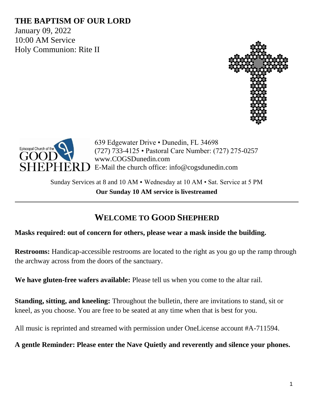## **THE BAPTISM OF OUR LORD**

January 09, 2022 10:00 AM Service Holy Communion: Rite II





639 Edgewater Drive • Dunedin, FL 34698 (727) 733-4125 • Pastoral Care Number: (727) 275-0257 www.COGSDunedin.com E-Mail the church office: info@cogsdunedin.com

Sunday Services at 8 and 10 AM • Wednesday at 10 AM • Sat. Service at 5 PM **Our Sunday 10 AM service is livestreamed**

## **WELCOME TO GOOD SHEPHERD**

#### **Masks required: out of concern for others, please wear a mask inside the building.**

**Restrooms:** Handicap-accessible restrooms are located to the right as you go up the ramp through the archway across from the doors of the sanctuary.

**We have gluten-free wafers available:** Please tell us when you come to the altar rail.

**Standing, sitting, and kneeling:** Throughout the bulletin, there are invitations to stand, sit or kneel, as you choose. You are free to be seated at any time when that is best for you.

All music is reprinted and streamed with permission under OneLicense account #A-711594.

**A gentle Reminder: Please enter the Nave Quietly and reverently and silence your phones.**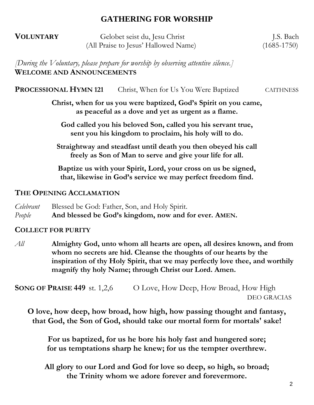## **GATHERING FOR WORSHIP**

| <b>VOLUNTARY</b> | Gelobet seist du, Jesu Christ        | J.S. Bach       |
|------------------|--------------------------------------|-----------------|
|                  | (All Praise to Jesus' Hallowed Name) | $(1685 - 1750)$ |

*[During the Voluntary, please prepare for worship by observing attentive silence.]* **WELCOME AND ANNOUNCEMENTS**

#### **PROCESSIONAL HYMN 121** Christ, When for Us You Were Baptized CAITHNESS

**Christ, when for us you were baptized, God's Spirit on you came, as peaceful as a dove and yet as urgent as a flame.**

**God called you his beloved Son, called you his servant true, sent you his kingdom to proclaim, his holy will to do.** 

**Straightway and steadfast until death you then obeyed his call freely as Son of Man to serve and give your life for all.**

**Baptize us with your Spirit, Lord, your cross on us be signed, that, likewise in God's service we may perfect freedom find.**

#### **THE OPENING ACCLAMATION**

*Celebrant* Blessed be God: Father, Son, and Holy Spirit. *People* **And blessed be God's kingdom, now and for ever. AMEN.**

#### **COLLECT FOR PURITY**

*All* **Almighty God, unto whom all hearts are open, all desires known, and from whom no secrets are hid. Cleanse the thoughts of our hearts by the inspiration of thy Holy Spirit, that we may perfectly love thee, and worthily magnify thy holy Name; through Christ our Lord. Amen.**

**SONG OF PRAISE 449** st. 1,2,6O Love, How Deep, How Broad, How High DEO GRACIAS

**O love, how deep, how broad, how high, how passing thought and fantasy, that God, the Son of God, should take our mortal form for mortals' sake!**

**For us baptized, for us he bore his holy fast and hungered sore; for us temptations sharp he knew; for us the tempter overthrew.**

**All glory to our Lord and God for love so deep, so high, so broad; the Trinity whom we adore forever and forevermore.**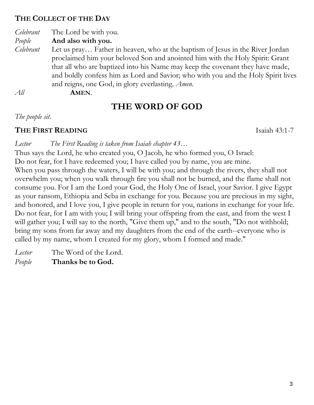#### **THE COLLECT OF THE DAY**

*Celebrant* The Lord be with you.

*People* **And also with you.**

*Celebrant* Let us pray… Father in heaven, who at the baptism of Jesus in the River Jordan proclaimed him your beloved Son and anointed him with the Holy Spirit: Grant that all who are baptized into his Name may keep the covenant they have made, and boldly confess him as Lord and Savior; who with you and the Holy Spirit lives and reigns, one God, in glory everlasting. *Amen*.

*All* **AMEN**.

# **THE WORD OF GOD**

*The people sit.*

## **THE FIRST READING** Isaiah 43:1-7

*Lector The First Reading is taken from Isaiah chapter 43…*

Thus says the Lord, he who created you, O Jacob, he who formed you, O Israel: Do not fear, for I have redeemed you; I have called you by name, you are mine. When you pass through the waters, I will be with you; and through the rivers, they shall not overwhelm you; when you walk through fire you shall not be burned, and the flame shall not consume you. For I am the Lord your God, the Holy One of Israel, your Savior. I give Egypt as your ransom, Ethiopia and Seba in exchange for you. Because you are precious in my sight, and honored, and I love you, I give people in return for you, nations in exchange for your life. Do not fear, for I am with you; I will bring your offspring from the east, and from the west I will gather you; I will say to the north, "Give them up," and to the south, "Do not withhold; bring my sons from far away and my daughters from the end of the earth--everyone who is called by my name, whom I created for my glory, whom I formed and made."

*Lector* The Word of the Lord. *People* **Thanks be to God.**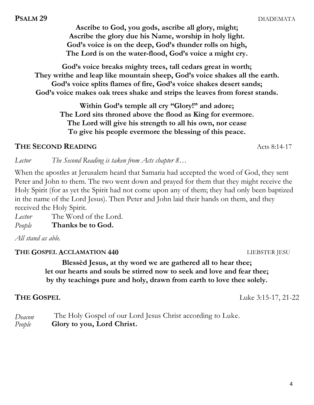**PSALM 29**DIADEMATA

**Ascribe to God, you gods, ascribe all glory, might; Ascribe the glory due his Name, worship in holy light. God's voice is on the deep, God's thunder rolls on high, The Lord is on the water-flood, God's voice a might cry.**

**God's voice breaks mighty trees, tall cedars great in worth; They writhe and leap like mountain sheep, God's voice shakes all the earth. God's voice splits flames of fire, God's voice shakes desert sands; God's voice makes oak trees shake and strips the leaves from forest stands.**

> **Within God's temple all cry "Glory!" and adore; The Lord sits throned above the flood as King for evermore. The Lord will give his strength to all his own, nor cease To give his people evermore the blessing of this peace.**

#### **THE SECOND READING** Acts 8:14-17

*Lector The Second Reading is taken from Acts chapter 8…*

When the apostles at Jerusalem heard that Samaria had accepted the word of God, they sent Peter and John to them. The two went down and prayed for them that they might receive the Holy Spirit (for as yet the Spirit had not come upon any of them; they had only been baptized in the name of the Lord Jesus). Then Peter and John laid their hands on them, and they received the Holy Spirit.

*Lector* The Word of the Lord. *People* **Thanks be to God.**

*All stand as able.*

**THE GOSPEL ACCLAMATION 440** LIEBSTER JESU

**Blessèd Jesus, at thy word we are gathered all to hear thee; let our hearts and souls be stirred now to seek and love and fear thee; by thy teachings pure and holy, drawn from earth to love thee solely.**

#### **THE GOSPEL** Luke 3:15-17, 21-22

*Deacon* The Holy Gospel of our Lord Jesus Christ according to Luke.<br>People **Glory to you, Lord Christ.** *People* **Glory to you, Lord Christ.**

#### 4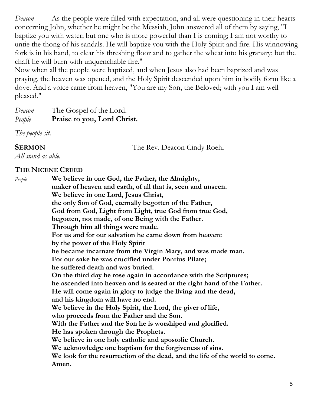*Deacon* As the people were filled with expectation, and all were questioning in their hearts concerning John, whether he might be the Messiah, John answered all of them by saying, "I baptize you with water; but one who is more powerful than I is coming; I am not worthy to untie the thong of his sandals. He will baptize you with the Holy Spirit and fire. His winnowing fork is in his hand, to clear his threshing floor and to gather the wheat into his granary; but the chaff he will burn with unquenchable fire."

Now when all the people were baptized, and when Jesus also had been baptized and was praying, the heaven was opened, and the Holy Spirit descended upon him in bodily form like a dove. And a voice came from heaven, "You are my Son, the Beloved; with you I am well pleased."

| Deacon | The Gospel of the Lord.     |
|--------|-----------------------------|
| People | Praise to you, Lord Christ. |

*The people sit.*

**SERMON** The Rev. Deacon Cindy Roehl

*All stand as able.*

#### **THE NICENE CREED**

*People* **We believe in one God, the Father, the Almighty, maker of heaven and earth, of all that is, seen and unseen. We believe in one Lord, Jesus Christ, the only Son of God, eternally begotten of the Father, God from God, Light from Light, true God from true God, begotten, not made, of one Being with the Father. Through him all things were made. For us and for our salvation he came down from heaven: by the power of the Holy Spirit he became incarnate from the Virgin Mary, and was made man. For our sake he was crucified under Pontius Pilate; he suffered death and was buried. On the third day he rose again in accordance with the Scriptures; he ascended into heaven and is seated at the right hand of the Father. He will come again in glory to judge the living and the dead, and his kingdom will have no end. We believe in the Holy Spirit, the Lord, the giver of life, who proceeds from the Father and the Son. With the Father and the Son he is worshiped and glorified. He has spoken through the Prophets. We believe in one holy catholic and apostolic Church. We acknowledge one baptism for the forgiveness of sins. We look for the resurrection of the dead, and the life of the world to come. Amen.**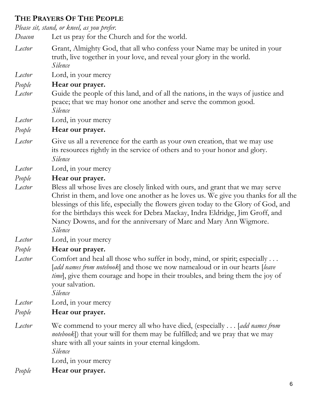## **THE PRAYERS OF THE PEOPLE**

*Please sit, stand, or kneel, as you prefer.*

*Deacon* Let us pray for the Church and for the world.

*Lector* Grant, Almighty God, that all who confess your Name may be united in your truth, live together in your love, and reveal your glory in the world. *Silence*

*Lector* Lord, in your mercy

#### *People* **Hear our prayer.**

*Lector* Guide the people of this land, and of all the nations, in the ways of justice and peace; that we may honor one another and serve the common good. *Silence*

*Lector* Lord, in your mercy

#### *People* **Hear our prayer.**

- *Lector* Give us all a reverence for the earth as your own creation, that we may use its resources rightly in the service of others and to your honor and glory. *Silence*
- *Lector* Lord, in your mercy

#### *People* **Hear our prayer.**

- *Lector* Bless all whose lives are closely linked with ours, and grant that we may serve Christ in them, and love one another as he loves us. We give you thanks for all the blessings of this life, especially the flowers given today to the Glory of God, and for the birthdays this week for Debra Mackay, Indra Eldridge, Jim Groff, and Nancy Downs, and for the anniversary of Marc and Mary Ann Wigmore. *Silence*
- *Lector* Lord, in your mercy

*People* **Hear our prayer.**

*Lector* Comfort and heal all those who suffer in body, mind, or spirit; especially ... [*add names from notebook*] and those we now namealoud or in our hearts [*leave time*, give them courage and hope in their troubles, and bring them the joy of your salvation.

*Silence*

- *Lector* Lord, in your mercy
- *People* **Hear our prayer.**
- *Lector* We commend to your mercy all who have died, (especially . . . [*add names from notebook*]) that your will for them may be fulfilled; and we pray that we may share with all your saints in your eternal kingdom. *Silence* Lord, in your mercy
- *People* **Hear our prayer.**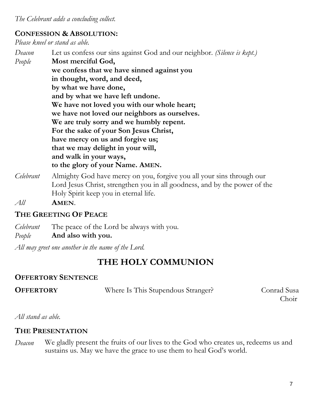#### **CONFESSION & ABSOLUTION:**

*Please kneel or stand as able.*

*Deacon* Let us confess our sins against God and our neighbor. *(Silence is kept.) People* **Most merciful God, we confess that we have sinned against you in thought, word, and deed, by what we have done, and by what we have left undone. We have not loved you with our whole heart; we have not loved our neighbors as ourselves. We are truly sorry and we humbly repent. For the sake of your Son Jesus Christ, have mercy on us and forgive us; that we may delight in your will, and walk in your ways,**

- **to the glory of your Name. AMEN.**
- *Celebrant* Almighty God have mercy on you, forgive you all your sins through our Lord Jesus Christ, strengthen you in all goodness, and by the power of the Holy Spirit keep you in eternal life.

*All* **AMEN**.

#### **THE GREETING OF PEACE**

*Celebrant* The peace of the Lord be always with you.

#### *People* **And also with you.**

*All may greet one another in the name of the Lord.*

## **THE HOLY COMMUNION**

#### **OFFERTORY SENTENCE**

**OFFERTORY** Where Is This Stupendous Stranger? Conrad Susa

**Choir** 

*All stand as able.*

#### **THE PRESENTATION**

*Deacon* We gladly present the fruits of our lives to the God who creates us, redeems us and sustains us. May we have the grace to use them to heal God's world.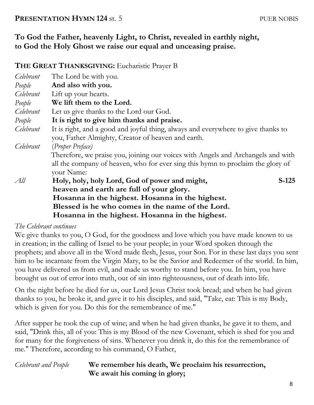## **To God the Father, heavenly Light, to Christ, revealed in earthly night, to God the Holy Ghost we raise our equal and unceasing praise.**

## **THE GREAT THANKSGIVING:** Eucharistic Prayer B

| Celebrant | The Lord be with you.                                                             |
|-----------|-----------------------------------------------------------------------------------|
| People    | And also with you.                                                                |
| Celebrant | Lift up your hearts.                                                              |
| People    | We lift them to the Lord.                                                         |
| Celebrant | Let us give thanks to the Lord our God.                                           |
| People    | It is right to give him thanks and praise.                                        |
| Celebrant | It is right, and a good and joyful thing, always and everywhere to give thanks to |
|           | you, Father Almighty, Creator of heaven and earth.                                |
| Celebrant | (Proper Preface)                                                                  |
|           | Therefore, we praise you, joining our voices with Angels and Archangels and with  |
|           | all the company of heaven, who for ever sing this hymn to proclaim the glory of   |
|           | your Name:                                                                        |
| All       | $S-125$<br>Holy, holy, holy Lord, God of power and might,                         |
|           | heaven and earth are full of your glory.                                          |
|           | Hosanna in the highest. Hosanna in the highest.                                   |
|           | Blessed is he who comes in the name of the Lord.                                  |
|           | Hosanna in the highest. Hosanna in the highest.                                   |

#### *The Celebrant continues*

We give thanks to you, O God, for the goodness and love which you have made known to us in creation; in the calling of Israel to be your people; in your Word spoken through the prophets; and above all in the Word made flesh, Jesus, your Son. For in these last days you sent him to be incarnate from the Virgin Mary, to be the Savior and Redeemer of the world. In him, you have delivered us from evil, and made us worthy to stand before you. In him, you have brought us out of error into truth, out of sin into righteousness, out of death into life.

On the night before he died for us, our Lord Jesus Christ took bread; and when he had given thanks to you, he broke it, and gave it to his disciples, and said, "Take, eat: This is my Body, which is given for you. Do this for the remembrance of me."

After supper he took the cup of wine; and when he had given thanks, he gave it to them, and said, "Drink this, all of you: This is my Blood of the new Covenant, which is shed for you and for many for the forgiveness of sins. Whenever you drink it, do this for the remembrance of me." Therefore, according to his command, O Father,

*Celebrant and People* **We remember his death, We proclaim his resurrection, We await his coming in glory;**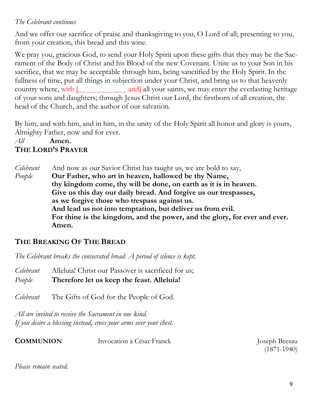## *The Celebrant continues*

And we offer our sacrifice of praise and thanksgiving to you, O Lord of all; presenting to you, from your creation, this bread and this wine.

We pray you, gracious God, to send your Holy Spirit upon these gifts that they may be the Sacrament of the Body of Christ and his Blood of the new Covenant. Unite us to your Son in his sacrifice, that we may be acceptable through him, being sanctified by the Holy Spirit. In the fullness of time, put all things in subjection under your Christ, and bring us to that heavenly country where, with  $\boxed{\phantom{a}}$  and all your saints, we may enter the everlasting heritage of your sons and daughters; through Jesus Christ our Lord, the firstborn of all creation, the head of the Church, and the author of our salvation.

By him, and with him, and in him, in the unity of the Holy Spirit all honor and glory is yours, Almighty Father, now and for ever.

*All* **Amen.** 

## **THE LORD'S PRAYER**

*Celebrant* And now as our Savior Christ has taught us, we are bold to say, *People* **Our Father, who art in heaven, hallowed be thy Name, thy kingdom come, thy will be done, on earth as it is in heaven. Give us this day our daily bread. And forgive us our trespasses, as we forgive those who trespass against us. And lead us not into temptation, but deliver us from evil. For thine is the kingdom, and the power, and the glory, for ever and ever. Amen.**

## **THE BREAKING OF THE BREAD**

*The Celebrant breaks the consecrated bread. A period of silence is kept.*

*Celebrant* Alleluia! Christ our Passover is sacrificed for us; *People* **Therefore let us keep the feast. Alleluia!**

*Celebrant* The Gifts of God for the People of God.

*All are invited to receive the Sacrament in one kind. If you desire a blessing instead, cross your arms over your chest.*

**COMMUNION** Invocation à César Franck **Invocation** Joseph Beesau

(1871-1940)

*Please remain seated.*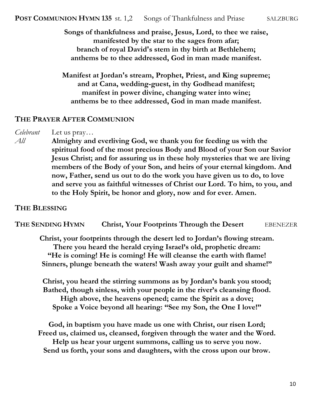**Songs of thankfulness and praise, Jesus, Lord, to thee we raise, manifested by the star to the sages from afar; branch of royal David's stem in thy birth at Bethlehem; anthems be to thee addressed, God in man made manifest.**

**Manifest at Jordan's stream, Prophet, Priest, and King supreme; and at Cana, wedding-guest, in thy Godhead manifest; manifest in power divine, changing water into wine; anthems be to thee addressed, God in man made manifest.**

#### **THE PRAYER AFTER COMMUNION**

*Celebrant* Let us pray…

*All* **Almighty and everliving God, we thank you for feeding us with the spiritual food of the most precious Body and Blood of your Son our Savior Jesus Christ; and for assuring us in these holy mysteries that we are living members of the Body of your Son, and heirs of your eternal kingdom. And now, Father, send us out to do the work you have given us to do, to love and serve you as faithful witnesses of Christ our Lord. To him, to you, and to the Holy Spirit, be honor and glory, now and for ever. Amen.**

### **THE BLESSING**

**THE SENDING HYMN Christ, Your Footprints Through the Desert** EBENEZER

**Christ, your footprints through the desert led to Jordan's flowing stream. There you heard the herald crying Israel's old, prophetic dream: "He is coming! He is coming! He will cleanse the earth with flame! Sinners, plunge beneath the waters! Wash away your guilt and shame!"**

**Christ, you heard the stirring summons as by Jordan's bank you stood; Bathed, though sinless, with your people in the river's cleansing flood. High above, the heavens opened; came the Spirit as a dove; Spoke a Voice beyond all hearing: "See my Son, the One I love!"**

**God, in baptism you have made us one with Christ, our risen Lord; Freed us, claimed us, cleansed, forgiven through the water and the Word. Help us hear your urgent summons, calling us to serve you now. Send us forth, your sons and daughters, with the cross upon our brow.**